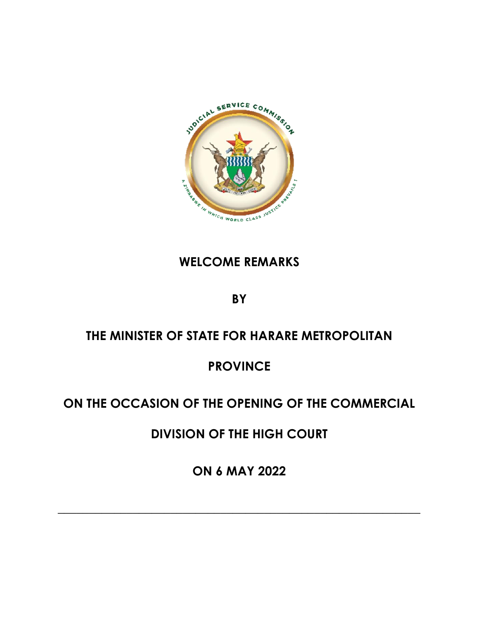

### **WELCOME REMARKS**

**BY**

# **THE MINISTER OF STATE FOR HARARE METROPOLITAN**

# **PROVINCE**

# **ON THE OCCASION OF THE OPENING OF THE COMMERCIAL**

**DIVISION OF THE HIGH COURT**

**ON 6 MAY 2022**

**\_\_\_\_\_\_\_\_\_\_\_\_\_\_\_\_\_\_\_\_\_\_\_\_\_\_\_\_\_\_\_\_\_\_\_\_\_\_\_\_\_\_\_\_\_\_\_\_\_\_\_\_\_\_\_\_\_\_**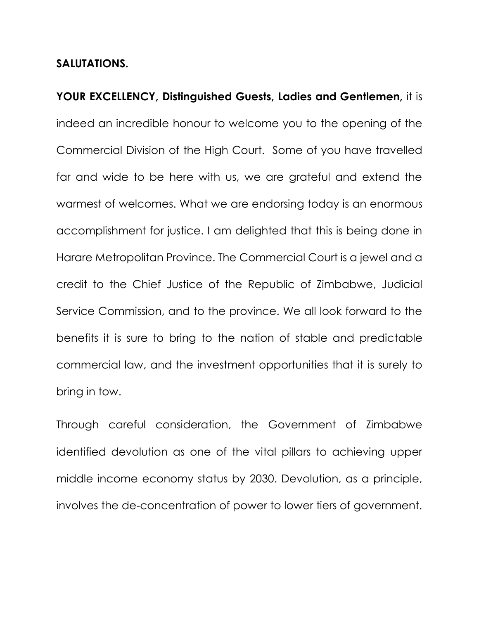### **SALUTATIONS.**

**YOUR EXCELLENCY, Distinguished Guests, Ladies and Gentlemen,** it is indeed an incredible honour to welcome you to the opening of the Commercial Division of the High Court. Some of you have travelled far and wide to be here with us, we are grateful and extend the warmest of welcomes. What we are endorsing today is an enormous accomplishment for justice. I am delighted that this is being done in Harare Metropolitan Province. The Commercial Court is a jewel and a credit to the Chief Justice of the Republic of Zimbabwe, Judicial Service Commission, and to the province. We all look forward to the benefits it is sure to bring to the nation of stable and predictable commercial law, and the investment opportunities that it is surely to bring in tow.

Through careful consideration, the Government of Zimbabwe identified devolution as one of the vital pillars to achieving upper middle income economy status by 2030. Devolution, as a principle, involves the de-concentration of power to lower tiers of government.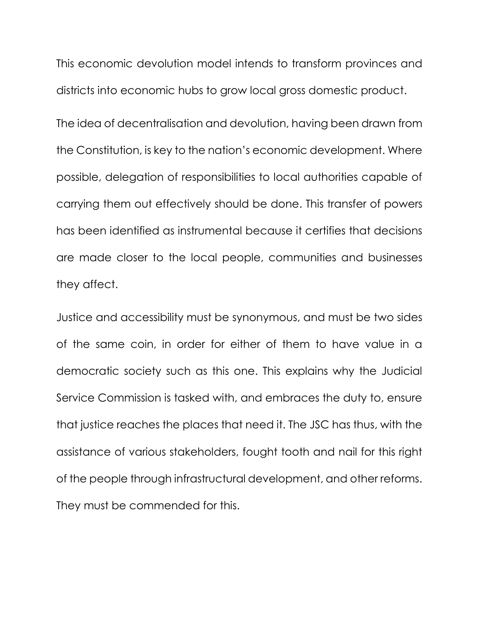This economic devolution model intends to transform provinces and districts into economic hubs to grow local gross domestic product.

The idea of decentralisation and devolution, having been drawn from the Constitution, is key to the nation's economic development. Where possible, delegation of responsibilities to local authorities capable of carrying them out effectively should be done. This transfer of powers has been identified as instrumental because it certifies that decisions are made closer to the local people, communities and businesses they affect.

Justice and accessibility must be synonymous, and must be two sides of the same coin, in order for either of them to have value in a democratic society such as this one. This explains why the Judicial Service Commission is tasked with, and embraces the duty to, ensure that justice reaches the places that need it. The JSC has thus, with the assistance of various stakeholders, fought tooth and nail for this right of the people through infrastructural development, and other reforms. They must be commended for this.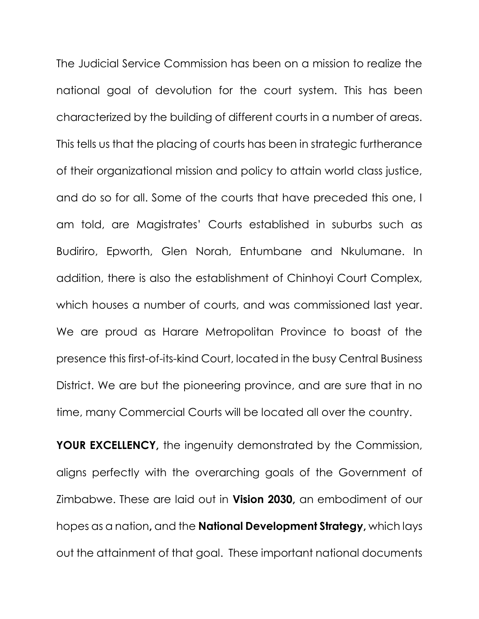The Judicial Service Commission has been on a mission to realize the national goal of devolution for the court system. This has been characterized by the building of different courts in a number of areas. This tells us that the placing of courts has been in strategic furtherance of their organizational mission and policy to attain world class justice, and do so for all. Some of the courts that have preceded this one, I am told, are Magistrates' Courts established in suburbs such as Budiriro, Epworth, Glen Norah, Entumbane and Nkulumane. In addition, there is also the establishment of Chinhoyi Court Complex, which houses a number of courts, and was commissioned last year. We are proud as Harare Metropolitan Province to boast of the presence this first-of-its-kind Court, located in the busy Central Business District. We are but the pioneering province, and are sure that in no time, many Commercial Courts will be located all over the country.

**YOUR EXCELLENCY,** the ingenuity demonstrated by the Commission, aligns perfectly with the overarching goals of the Government of Zimbabwe. These are laid out in **Vision 2030,** an embodiment of our hopes as a nation**,** and the **National Development Strategy,** which lays out the attainment of that goal. These important national documents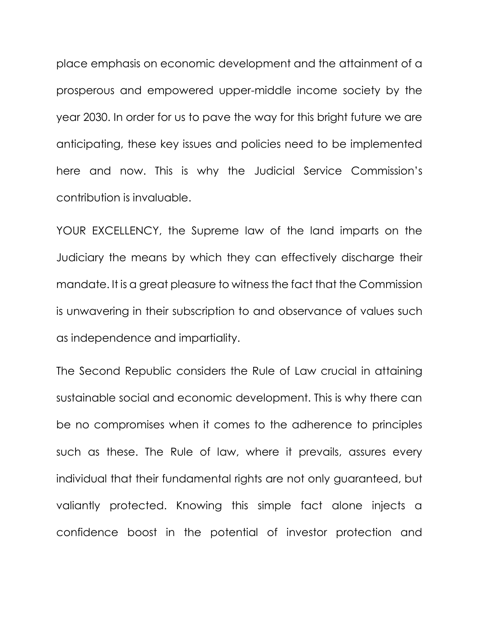place emphasis on economic development and the attainment of a prosperous and empowered upper-middle income society by the year 2030. In order for us to pave the way for this bright future we are anticipating, these key issues and policies need to be implemented here and now. This is why the Judicial Service Commission's contribution is invaluable.

YOUR EXCELLENCY, the Supreme law of the land imparts on the Judiciary the means by which they can effectively discharge their mandate. It is a great pleasure to witness the fact that the Commission is unwavering in their subscription to and observance of values such as independence and impartiality.

The Second Republic considers the Rule of Law crucial in attaining sustainable social and economic development. This is why there can be no compromises when it comes to the adherence to principles such as these. The Rule of law, where it prevails, assures every individual that their fundamental rights are not only guaranteed, but valiantly protected. Knowing this simple fact alone injects a confidence boost in the potential of investor protection and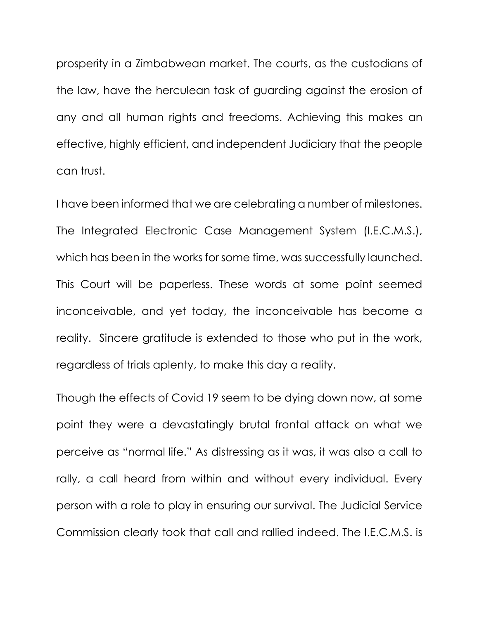prosperity in a Zimbabwean market. The courts, as the custodians of the law, have the herculean task of guarding against the erosion of any and all human rights and freedoms. Achieving this makes an effective, highly efficient, and independent Judiciary that the people can trust.

I have been informed that we are celebrating a number of milestones. The Integrated Electronic Case Management System (I.E.C.M.S.), which has been in the works for some time, was successfully launched. This Court will be paperless. These words at some point seemed inconceivable, and yet today, the inconceivable has become a reality. Sincere gratitude is extended to those who put in the work, regardless of trials aplenty, to make this day a reality.

Though the effects of Covid 19 seem to be dying down now, at some point they were a devastatingly brutal frontal attack on what we perceive as "normal life." As distressing as it was, it was also a call to rally, a call heard from within and without every individual. Every person with a role to play in ensuring our survival. The Judicial Service Commission clearly took that call and rallied indeed. The I.E.C.M.S. is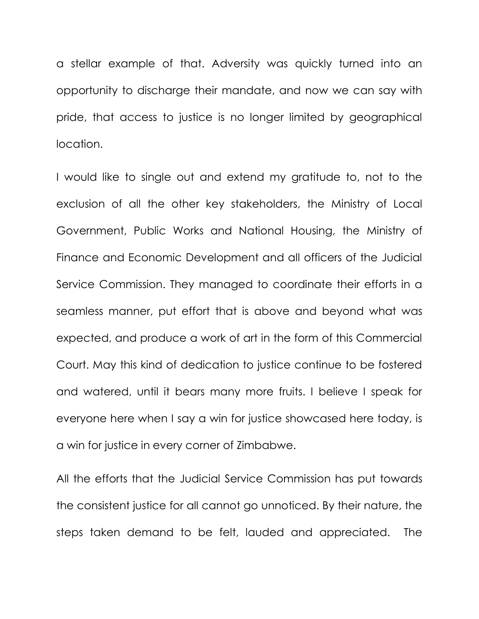a stellar example of that. Adversity was quickly turned into an opportunity to discharge their mandate, and now we can say with pride, that access to justice is no longer limited by geographical location.

I would like to single out and extend my gratitude to, not to the exclusion of all the other key stakeholders, the Ministry of Local Government, Public Works and National Housing, the Ministry of Finance and Economic Development and all officers of the Judicial Service Commission. They managed to coordinate their efforts in a seamless manner, put effort that is above and beyond what was expected, and produce a work of art in the form of this Commercial Court. May this kind of dedication to justice continue to be fostered and watered, until it bears many more fruits. I believe I speak for everyone here when I say a win for justice showcased here today, is a win for justice in every corner of Zimbabwe.

All the efforts that the Judicial Service Commission has put towards the consistent justice for all cannot go unnoticed. By their nature, the steps taken demand to be felt, lauded and appreciated. The